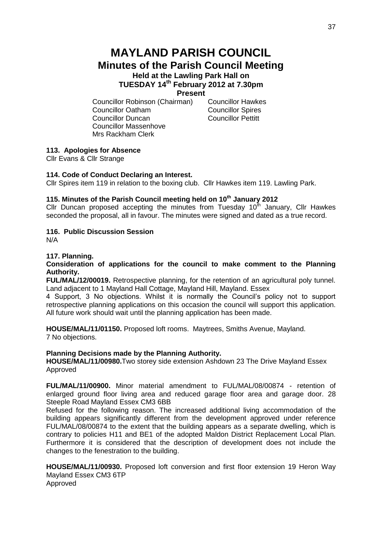# **MAYLAND PARISH COUNCIL Minutes of the Parish Council Meeting Held at the Lawling Park Hall on**

# **TUESDAY 14 th February 2012 at 7.30pm**

## **Present**

Councillor Robinson (Chairman) Councillor Hawkes Councillor Oatham Councillor Spires Councillor Duncan Councillor Pettitt Councillor Massenhove Mrs Rackham Clerk

## **113. Apologies for Absence**

Cllr Evans & Cllr Strange

#### **114. Code of Conduct Declaring an Interest.**

Cllr Spires item 119 in relation to the boxing club. Cllr Hawkes item 119. Lawling Park.

#### **115. Minutes of the Parish Council meeting held on 10th January 2012**

Cllr Duncan proposed accepting the minutes from Tuesday  $10<sup>th</sup>$  January, Cllr Hawkes seconded the proposal, all in favour. The minutes were signed and dated as a true record.

### **116. Public Discussion Session**

N/A

## **117. Planning.**

### **Consideration of applications for the council to make comment to the Planning Authority.**

**FUL/MAL/12/00019.** Retrospective planning, for the retention of an agricultural poly tunnel. Land adjacent to 1 Mayland Hall Cottage, Mayland Hill, Mayland. Essex

4 Support, 3 No objections. Whilst it is normally the Council's policy not to support retrospective planning applications on this occasion the council will support this application. All future work should wait until the planning application has been made.

**HOUSE/MAL/11/01150.** Proposed loft rooms. Maytrees, Smiths Avenue, Mayland. 7 No objections.

#### **Planning Decisions made by the Planning Authority.**

**HOUSE/MAL/11/00980.**Two storey side extension Ashdown 23 The Drive Mayland Essex Approved

**FUL/MAL/11/00900.** Minor material amendment to FUL/MAL/08/00874 - retention of enlarged ground floor living area and reduced garage floor area and garage door. 28 Steeple Road Mayland Essex CM3 6BB

Refused for the following reason. The increased additional living accommodation of the building appears significantly different from the development approved under reference FUL/MAL/08/00874 to the extent that the building appears as a separate dwelling, which is contrary to policies H11 and BE1 of the adopted Maldon District Replacement Local Plan. Furthermore it is considered that the description of development does not include the changes to the fenestration to the building.

**HOUSE/MAL/11/00930.** Proposed loft conversion and first floor extension 19 Heron Way Mayland Essex CM3 6TP Approved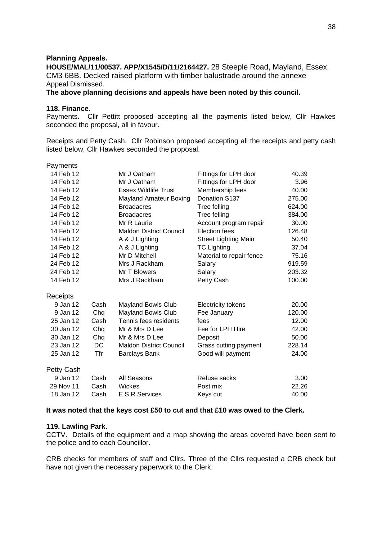#### **Planning Appeals.**

**HOUSE/MAL/11/00537. APP/X1545/D/11/2164427.** 28 Steeple Road, Mayland, Essex, CM3 6BB. Decked raised platform with timber balustrade around the annexe Appeal Dismissed.

**The above planning decisions and appeals have been noted by this council.**

## **118. Finance.**

Payments. Cllr Pettitt proposed accepting all the payments listed below, Cllr Hawkes seconded the proposal, all in favour.

Receipts and Petty Cash. Cllr Robinson proposed accepting all the receipts and petty cash listed below, Cllr Hawkes seconded the proposal.

| Payments          |      |                                |                             |        |
|-------------------|------|--------------------------------|-----------------------------|--------|
| 14 Feb 12         |      | Mr J Oatham                    | Fittings for LPH door       | 40.39  |
| 14 Feb 12         |      | Mr J Oatham                    | Fittings for LPH door       | 3.96   |
| 14 Feb 12         |      | <b>Essex Wildlife Trust</b>    | Membership fees             | 40.00  |
| 14 Feb 12         |      | <b>Mayland Amateur Boxing</b>  | Donation S137               | 275.00 |
| 14 Feb 12         |      | <b>Broadacres</b>              | Tree felling                | 624.00 |
| 14 Feb 12         |      | <b>Broadacres</b>              | Tree felling                | 384.00 |
| 14 Feb 12         |      | Mr R Laurie                    | Account program repair      | 30.00  |
| 14 Feb 12         |      | <b>Maldon District Council</b> | Election fees               | 126.48 |
| 14 Feb 12         |      | A & J Lighting                 | <b>Street Lighting Main</b> | 50.40  |
| 14 Feb 12         |      | A & J Lighting                 | <b>TC Lighting</b>          | 37.04  |
| 14 Feb 12         |      | Mr D Mitchell                  | Material to repair fence    | 75.16  |
| 24 Feb 12         |      | Mrs J Rackham                  | Salary                      | 919.59 |
| 24 Feb 12         |      | Mr T Blowers                   | Salary                      | 203.32 |
| 14 Feb 12         |      | Mrs J Rackham                  | Petty Cash                  | 100.00 |
| <b>Receipts</b>   |      |                                |                             |        |
| 9 Jan 12          | Cash | <b>Mayland Bowls Club</b>      | <b>Electricity tokens</b>   | 20.00  |
| 9 Jan 12          | Chq  | <b>Mayland Bowls Club</b>      | Fee January                 | 120.00 |
| 25 Jan 12         | Cash | Tennis fees residents          | fees                        | 12.00  |
| 30 Jan 12         | Chq  | Mr & Mrs D Lee                 | Fee for LPH Hire            | 42.00  |
| 30 Jan 12         | Chq  | Mr & Mrs D Lee                 | Deposit                     | 50.00  |
| 23 Jan 12         | DC   | <b>Maldon District Council</b> | Grass cutting payment       | 228.14 |
| 25 Jan 12         | Tfr  | <b>Barclays Bank</b>           | Good will payment           | 24.00  |
| <b>Petty Cash</b> |      |                                |                             |        |
| 9 Jan 12          | Cash | All Seasons                    | Refuse sacks                | 3.00   |
| 29 Nov 11         | Cash | Wickes                         | Post mix                    | 22.26  |
| 18 Jan 12         | Cash | E S R Services                 | Keys cut                    | 40.00  |
|                   |      |                                |                             |        |

## **It was noted that the keys cost £50 to cut and that £10 was owed to the Clerk.**

#### **119. Lawling Park.**

CCTV. Details of the equipment and a map showing the areas covered have been sent to the police and to each Councillor.

CRB checks for members of staff and Cllrs. Three of the Cllrs requested a CRB check but have not given the necessary paperwork to the Clerk.